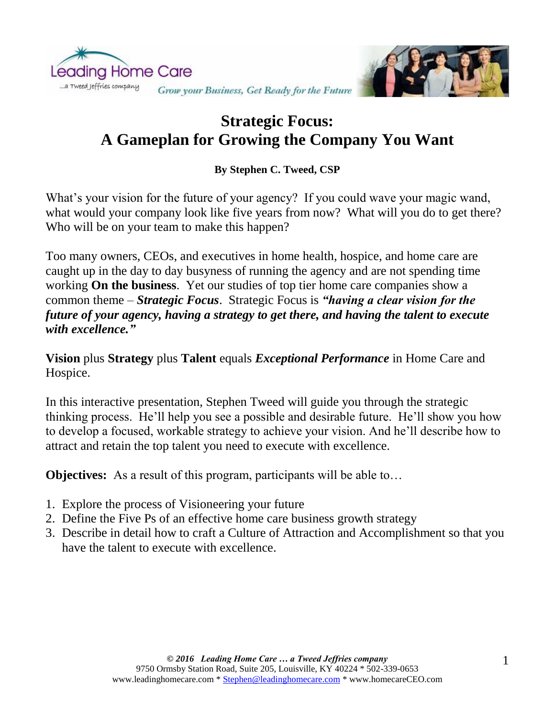

## **Strategic Focus: A Gameplan for Growing the Company You Want**

## **By Stephen C. Tweed, CSP**

What's your vision for the future of your agency? If you could wave your magic wand, what would your company look like five years from now? What will you do to get there? Who will be on your team to make this happen?

Too many owners, CEOs, and executives in home health, hospice, and home care are caught up in the day to day busyness of running the agency and are not spending time working **On the business**. Yet our studies of top tier home care companies show a common theme – *Strategic Focus*. Strategic Focus is *"having a clear vision for the future of your agency, having a strategy to get there, and having the talent to execute with excellence."*

**Vision** plus **Strategy** plus **Talent** equals *Exceptional Performance* in Home Care and Hospice.

In this interactive presentation, Stephen Tweed will guide you through the strategic thinking process. He'll help you see a possible and desirable future. He'll show you how to develop a focused, workable strategy to achieve your vision. And he'll describe how to attract and retain the top talent you need to execute with excellence.

**Objectives:** As a result of this program, participants will be able to…

- 1. Explore the process of Visioneering your future
- 2. Define the Five Ps of an effective home care business growth strategy
- 3. Describe in detail how to craft a Culture of Attraction and Accomplishment so that you have the talent to execute with excellence.